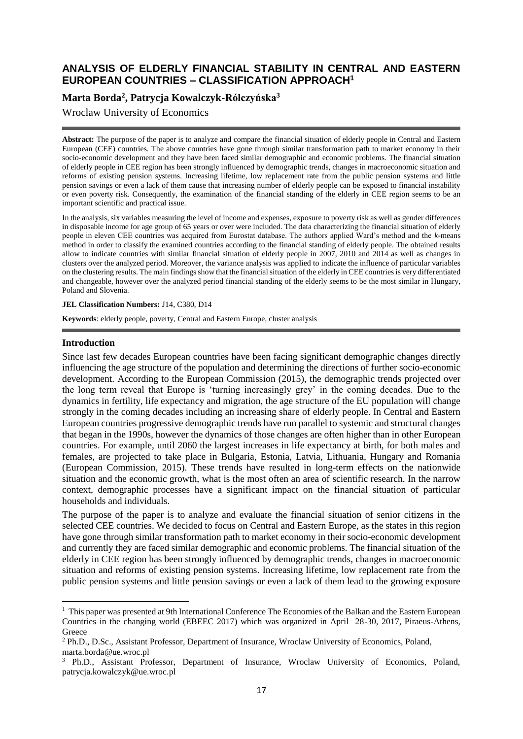# **ANALYSIS OF ELDERLY FINANCIAL STABILITY IN CENTRAL AND EASTERN EUROPEAN COUNTRIES – CLASSIFICATION APPROACH<sup>1</sup>**

# **Marta Borda<sup>2</sup> , Patrycja Kowalczyk-Rólczyńska<sup>3</sup>**

Wroclaw University of Economics

**Abstract:** The purpose of the paper is to analyze and compare the financial situation of elderly people in Central and Eastern European (CEE) countries. The above countries have gone through similar transformation path to market economy in their socio-economic development and they have been faced similar demographic and economic problems. The financial situation of elderly people in CEE region has been strongly influenced by demographic trends, changes in macroeconomic situation and reforms of existing pension systems. Increasing lifetime, low replacement rate from the public pension systems and little pension savings or even a lack of them cause that increasing number of elderly people can be exposed to financial instability or even poverty risk. Consequently, the examination of the financial standing of the elderly in CEE region seems to be an important scientific and practical issue.

In the analysis, six variables measuring the level of income and expenses, exposure to poverty risk as well as gender differences in disposable income for age group of 65 years or over were included. The data characterizing the financial situation of elderly people in eleven CEE countries was acquired from Eurostat database. The authors applied Ward's method and the *k*-means method in order to classify the examined countries according to the financial standing of elderly people. The obtained results allow to indicate countries with similar financial situation of elderly people in 2007, 2010 and 2014 as well as changes in clusters over the analyzed period. Moreover, the variance analysis was applied to indicate the influence of particular variables on the clustering results. The main findings show that the financial situation of the elderly in CEE countries is very differentiated and changeable, however over the analyzed period financial standing of the elderly seems to be the most similar in Hungary, Poland and Slovenia.

**JEL Classification Numbers:** J14, C380, D14

**Keywords**: elderly people, poverty, Central and Eastern Europe, cluster analysis

#### **Introduction**

**.** 

Since last few decades European countries have been facing significant demographic changes directly influencing the age structure of the population and determining the directions of further socio-economic development. According to the European Commission (2015), the demographic trends projected over the long term reveal that Europe is 'turning increasingly grey' in the coming decades. Due to the dynamics in fertility, life expectancy and migration, the age structure of the EU population will change strongly in the coming decades including an increasing share of elderly people. In Central and Eastern European countries progressive demographic trends have run parallel to systemic and structural changes that began in the 1990s, however the dynamics of those changes are often higher than in other European countries. For example, until 2060 the largest increases in life expectancy at birth, for both males and females, are projected to take place in Bulgaria, Estonia, Latvia, Lithuania, Hungary and Romania (European Commission, 2015). These trends have resulted in long-term effects on the nationwide situation and the economic growth, what is the most often an area of scientific research. In the narrow context, demographic processes have a significant impact on the financial situation of particular households and individuals.

The purpose of the paper is to analyze and evaluate the financial situation of senior citizens in the selected CEE countries. We decided to focus on Central and Eastern Europe, as the states in this region have gone through similar transformation path to market economy in their socio-economic development and currently they are faced similar demographic and economic problems. The financial situation of the elderly in CEE region has been strongly influenced by demographic trends, changes in macroeconomic situation and reforms of existing pension systems. Increasing lifetime, low replacement rate from the public pension systems and little pension savings or even a lack of them lead to the growing exposure

<sup>&</sup>lt;sup>1</sup> This paper was presented at 9th International Conference The Economies of the Balkan and the Eastern European Countries in the changing world (EBEEC 2017) which was organized in April 28-30, 2017, Piraeus-Athens, Greece

<sup>2</sup> Ph.D., D.Sc., Assistant Professor, Department of Insurance, Wroclaw University of Economics, Poland, marta.borda@ue.wroc.pl

<sup>3</sup> Ph.D., Assistant Professor, Department of Insurance, Wroclaw University of Economics, Poland, patrycja.kowalczyk@ue.wroc.pl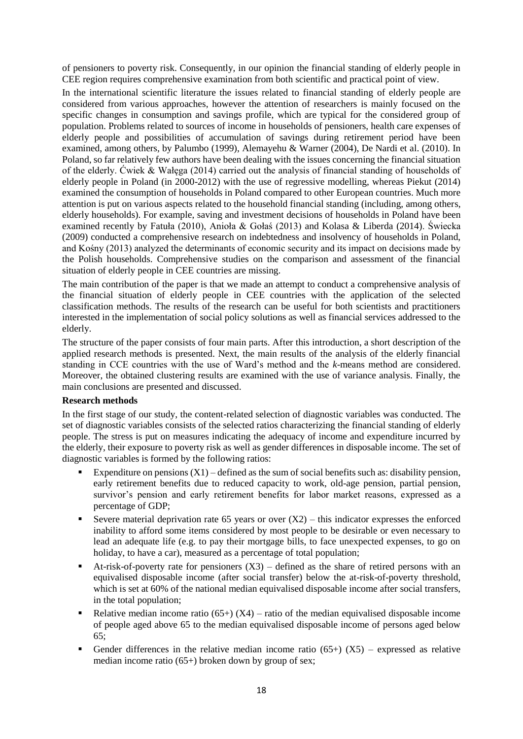of pensioners to poverty risk. Consequently, in our opinion the financial standing of elderly people in CEE region requires comprehensive examination from both scientific and practical point of view.

In the international scientific literature the issues related to financial standing of elderly people are considered from various approaches, however the attention of researchers is mainly focused on the specific changes in consumption and savings profile, which are typical for the considered group of population. Problems related to sources of income in households of pensioners, health care expenses of elderly people and possibilities of accumulation of savings during retirement period have been examined, among others, by Palumbo (1999), Alemayehu & Warner (2004), De Nardi et al. (2010). In Poland, so far relatively few authors have been dealing with the issues concerning the financial situation of the elderly. Ćwiek & Wałęga (2014) carried out the analysis of financial standing of households of elderly people in Poland (in 2000-2012) with the use of regressive modelling, whereas Piekut (2014) examined the consumption of households in Poland compared to other European countries. Much more attention is put on various aspects related to the household financial standing (including, among others, elderly households). For example, saving and investment decisions of households in Poland have been examined recently by Fatuła (2010), Anioła & Gołaś (2013) and Kolasa & Liberda (2014). Świecka (2009) conducted a comprehensive research on indebtedness and insolvency of households in Poland, and Kośny (2013) analyzed the determinants of economic security and its impact on decisions made by the Polish households. Comprehensive studies on the comparison and assessment of the financial situation of elderly people in CEE countries are missing.

The main contribution of the paper is that we made an attempt to conduct a comprehensive analysis of the financial situation of elderly people in CEE countries with the application of the selected classification methods. The results of the research can be useful for both scientists and practitioners interested in the implementation of social policy solutions as well as financial services addressed to the elderly.

The structure of the paper consists of four main parts. After this introduction, a short description of the applied research methods is presented. Next, the main results of the analysis of the elderly financial standing in CCE countries with the use of Ward's method and the *k*-means method are considered. Moreover, the obtained clustering results are examined with the use of variance analysis. Finally, the main conclusions are presented and discussed.

### **Research methods**

In the first stage of our study, the content-related selection of diagnostic variables was conducted. The set of diagnostic variables consists of the selected ratios characterizing the financial standing of elderly people. The stress is put on measures indicating the adequacy of income and expenditure incurred by the elderly, their exposure to poverty risk as well as gender differences in disposable income. The set of diagnostic variables is formed by the following ratios:

- Expenditure on pensions  $(X1)$  defined as the sum of social benefits such as: disability pension, early retirement benefits due to reduced capacity to work, old-age pension, partial pension, survivor's pension and early retirement benefits for labor market reasons, expressed as a percentage of GDP;
- Exercise material deprivation rate 65 years or over  $(X2)$  this indicator expresses the enforced inability to afford some items considered by most people to be desirable or even necessary to lead an adequate life (e.g. to pay their mortgage bills, to face unexpected expenses, to go on holiday, to have a car), measured as a percentage of total population;
- At-risk-of-poverty rate for pensioners  $(X3)$  defined as the share of retired persons with an equivalised disposable income (after social transfer) below the at-risk-of-poverty threshold, which is set at 60% of the national median equivalised disposable income after social transfers, in the total population;
- Relative median income ratio (65+) (X4) ratio of the median equivalised disposable income of people aged above 65 to the median equivalised disposable income of persons aged below 65;
- Gender differences in the relative median income ratio (65+) ( $X5$ ) expressed as relative median income ratio (65+) broken down by group of sex;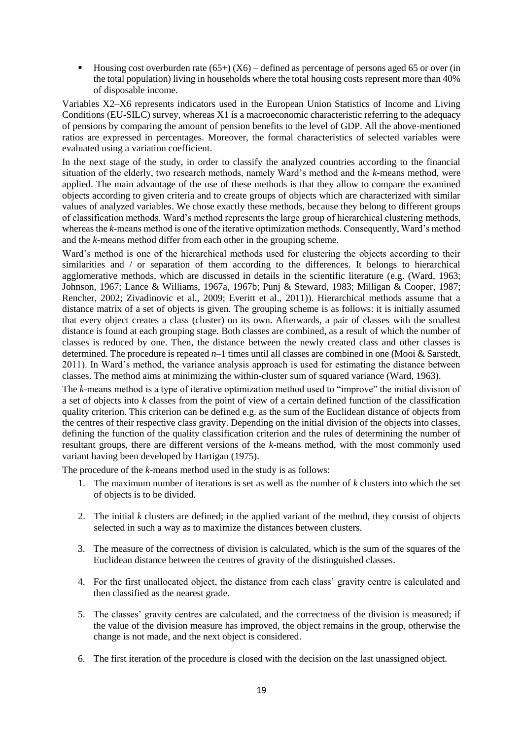**•** Housing cost overburden rate  $(65+)$   $(X6)$  – defined as percentage of persons aged 65 or over (in the total population) living in households where the total housing costs represent more than 40% of disposable income.

Variables X2–X6 represents indicators used in the European Union Statistics of Income and Living Conditions (EU-SILC) survey, whereas  $X1$  is a macroeconomic characteristic referring to the adequacy of pensions by comparing the amount of pension benefits to the level of GDP. All the above-mentioned ratios are expressed in percentages. Moreover, the formal characteristics of selected variables were evaluated using a variation coefficient.

In the next stage of the study, in order to classify the analyzed countries according to the financial situation of the elderly, two research methods, namely Ward's method and the *k*-means method, were applied. The main advantage of the use of these methods is that they allow to compare the examined objects according to given criteria and to create groups of objects which are characterized with similar values of analyzed variables. We chose exactly these methods, because they belong to different groups of classification methods. Ward's method represents the large group of hierarchical clustering methods, whereas the *k*-means method is one of the iterative optimization methods. Consequently, Ward's method and the *k*-means method differ from each other in the grouping scheme.

Ward's method is one of the hierarchical methods used for clustering the objects according to their similarities and / or separation of them according to the differences. It belongs to hierarchical agglomerative methods, which are discussed in details in the scientific literature (e.g. (Ward, 1963; Johnson, 1967; Lance & Williams, 1967a, 1967b; Punj & Steward, 1983; Milligan & Cooper, 1987; Rencher, 2002; Zivadinovic et al., 2009; Everitt et al., 2011)). Hierarchical methods assume that a distance matrix of a set of objects is given. The grouping scheme is as follows: it is initially assumed that every object creates a class (cluster) on its own. Afterwards, a pair of classes with the smallest distance is found at each grouping stage. Both classes are combined, as a result of which the number of classes is reduced by one. Then, the distance between the newly created class and other classes is determined. The procedure is repeated *n*–1 times until all classes are combined in one (Mooi & Sarstedt, 2011). In Ward's method, the variance analysis approach is used for estimating the distance between classes. The method aims at minimizing the within-cluster sum of squared variance (Ward, 1963).

The *k*-means method is a type of iterative optimization method used to "improve" the initial division of a set of objects into *k* classes from the point of view of a certain defined function of the classification quality criterion. This criterion can be defined e.g. as the sum of the Euclidean distance of objects from the centres of their respective class gravity. Depending on the initial division of the objects into classes, defining the function of the quality classification criterion and the rules of determining the number of resultant groups, there are different versions of the *k*-means method, with the most commonly used variant having been developed by Hartigan (1975).

The procedure of the *k*-means method used in the study is as follows:

- 1. The maximum number of iterations is set as well as the number of *k* clusters into which the set of objects is to be divided.
- 2. The initial *k* clusters are defined; in the applied variant of the method, they consist of objects selected in such a way as to maximize the distances between clusters.
- 3. The measure of the correctness of division is calculated, which is the sum of the squares of the Euclidean distance between the centres of gravity of the distinguished classes.
- 4. For the first unallocated object, the distance from each class' gravity centre is calculated and then classified as the nearest grade.
- 5. The classes' gravity centres are calculated, and the correctness of the division is measured; if the value of the division measure has improved, the object remains in the group, otherwise the change is not made, and the next object is considered.
- 6. The first iteration of the procedure is closed with the decision on the last unassigned object.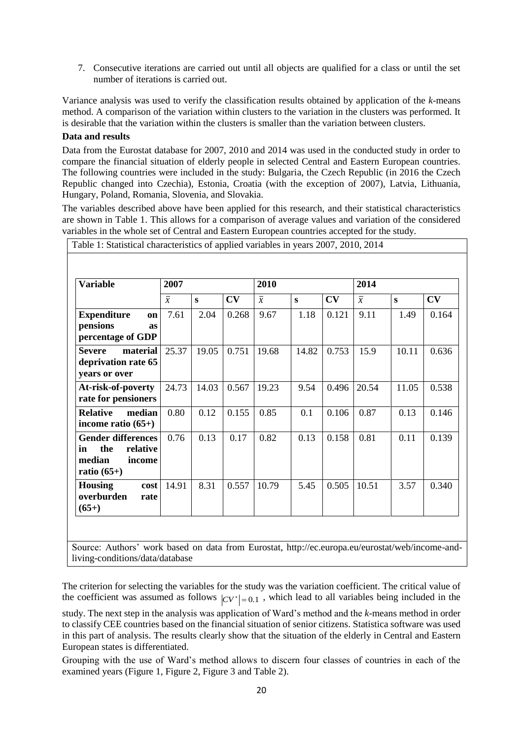7. Consecutive iterations are carried out until all objects are qualified for a class or until the set number of iterations is carried out.

Variance analysis was used to verify the classification results obtained by application of the *k*-means method. A comparison of the variation within clusters to the variation in the clusters was performed. It is desirable that the variation within the clusters is smaller than the variation between clusters.

## **Data and results**

Data from the Eurostat database for 2007, 2010 and 2014 was used in the conducted study in order to compare the financial situation of elderly people in selected Central and Eastern European countries. The following countries were included in the study: Bulgaria, the Czech Republic (in 2016 the Czech Republic changed into Czechia), Estonia, Croatia (with the exception of 2007), Latvia, Lithuania, Hungary, Poland, Romania, Slovenia, and Slovakia.

The variables described above have been applied for this research, and their statistical characteristics are shown in Table 1. This allows for a comparison of average values and variation of the considered variables in the whole set of Central and Eastern European countries accepted for the study.

| <b>Variable</b>                                                                         | 2007           |       |       | 2010           |          |       | 2014           |          |       |
|-----------------------------------------------------------------------------------------|----------------|-------|-------|----------------|----------|-------|----------------|----------|-------|
|                                                                                         | $\overline{x}$ | S     | CV    | $\overline{x}$ | $\bf{s}$ | CV    | $\overline{x}$ | $\bf{s}$ | CV    |
| <b>Expenditure</b><br>on<br>pensions<br>as<br>percentage of GDP                         | 7.61           | 2.04  | 0.268 | 9.67           | 1.18     | 0.121 | 9.11           | 1.49     | 0.164 |
| <b>Severe</b><br>material<br>deprivation rate 65<br>years or over                       | 25.37          | 19.05 | 0.751 | 19.68          | 14.82    | 0.753 | 15.9           | 10.11    | 0.636 |
| At-risk-of-poverty<br>rate for pensioners                                               | 24.73          | 14.03 | 0.567 | 19.23          | 9.54     | 0.496 | 20.54          | 11.05    | 0.538 |
| <b>Relative</b><br>median<br>income ratio $(65+)$                                       | 0.80           | 0.12  | 0.155 | 0.85           | 0.1      | 0.106 | 0.87           | 0.13     | 0.146 |
| <b>Gender differences</b><br>the<br>relative<br>in<br>median<br>income<br>ratio $(65+)$ | 0.76           | 0.13  | 0.17  | 0.82           | 0.13     | 0.158 | 0.81           | 0.11     | 0.139 |
| <b>Housing</b><br>cost<br>overburden<br>rate<br>$(65+)$                                 | 14.91          | 8.31  | 0.557 | 10.79          | 5.45     | 0.505 | 10.51          | 3.57     | 0.340 |

Source: Authors' work based on data from Eurostat, http://ec.europa.eu/eurostat/web/income-andliving-conditions/data/database

The criterion for selecting the variables for the study was the variation coefficient. The critical value of the coefficient was assumed as follows  $|CV^*| = 0.1$ , which lead to all variables being included in the

study. The next step in the analysis was application of Ward's method and the *k*-means method in order to classify CEE countries based on the financial situation of senior citizens. Statistica software was used in this part of analysis. The results clearly show that the situation of the elderly in Central and Eastern European states is differentiated.

Grouping with the use of Ward's method allows to discern four classes of countries in each of the examined years (Figure 1, Figure 2, Figure 3 and Table 2).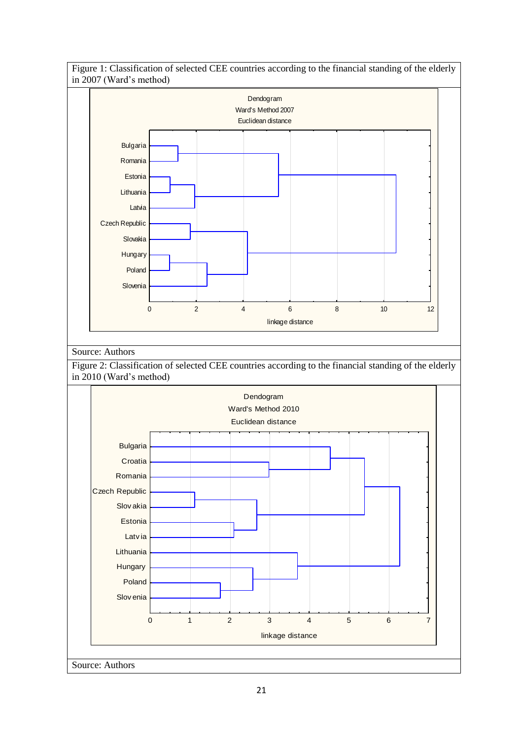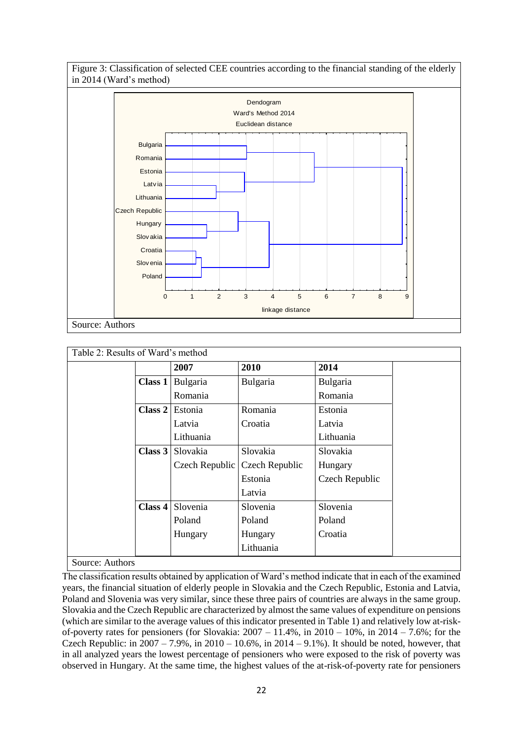Figure 3: Classification of selected CEE countries according to the financial standing of the elderly in 2014 (Ward's method)



| Table 2: Results of Ward's method |           |                |                |                |
|-----------------------------------|-----------|----------------|----------------|----------------|
|                                   |           | 2007           | 2010           | 2014           |
|                                   | Class $1$ | Bulgaria       | Bulgaria       | Bulgaria       |
|                                   |           | Romania        |                | Romania        |
|                                   | Class 2   | Estonia        | Romania        | Estonia        |
|                                   |           | Latvia         | Croatia        | Latvia         |
|                                   |           | Lithuania      |                | Lithuania      |
|                                   | Class 3   | Slovakia       | Slovakia       | Slovakia       |
|                                   |           | Czech Republic | Czech Republic | Hungary        |
|                                   |           |                | Estonia        | Czech Republic |
|                                   |           |                | Latvia         |                |
|                                   | Class 4   | Slovenia       | Slovenia       | Slovenia       |
|                                   |           | Poland         | Poland         | Poland         |
|                                   |           | Hungary        | Hungary        | Croatia        |
|                                   |           |                | Lithuania      |                |
| Source: Authors                   |           |                |                |                |

The classification results obtained by application of Ward's method indicate that in each of the examined years, the financial situation of elderly people in Slovakia and the Czech Republic, Estonia and Latvia, Poland and Slovenia was very similar, since these three pairs of countries are always in the same group. Slovakia and the Czech Republic are characterized by almost the same values of expenditure on pensions (which are similar to the average values of this indicator presented in Table 1) and relatively low at-riskof-poverty rates for pensioners (for Slovakia:  $2007 - 11.4\%$ , in  $2010 - 10\%$ , in  $2014 - 7.6\%$ ; for the Czech Republic: in  $2007 - 7.9\%$ , in  $2010 - 10.6\%$ , in  $2014 - 9.1\%$ ). It should be noted, however, that in all analyzed years the lowest percentage of pensioners who were exposed to the risk of poverty was observed in Hungary. At the same time, the highest values of the at-risk-of-poverty rate for pensioners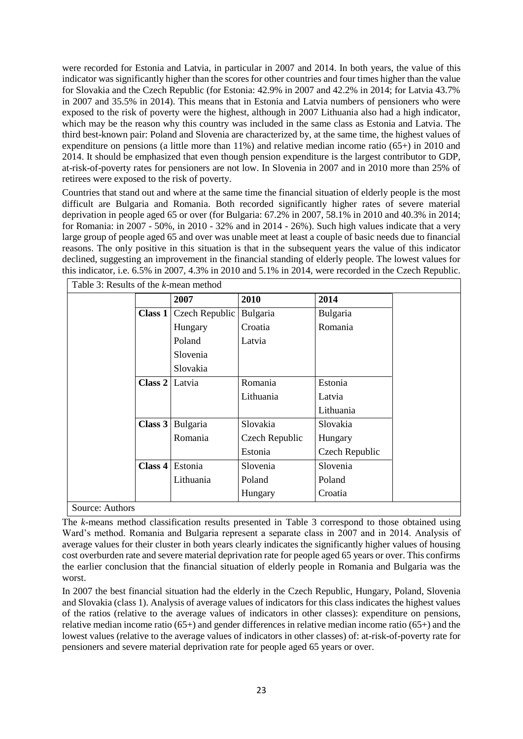were recorded for Estonia and Latvia, in particular in 2007 and 2014. In both years, the value of this indicator was significantly higher than the scores for other countries and four times higher than the value for Slovakia and the Czech Republic (for Estonia: 42.9% in 2007 and 42.2% in 2014; for Latvia 43.7% in 2007 and 35.5% in 2014). This means that in Estonia and Latvia numbers of pensioners who were exposed to the risk of poverty were the highest, although in 2007 Lithuania also had a high indicator, which may be the reason why this country was included in the same class as Estonia and Latvia. The third best-known pair: Poland and Slovenia are characterized by, at the same time, the highest values of expenditure on pensions (a little more than  $11\%$ ) and relative median income ratio (65+) in 2010 and 2014. It should be emphasized that even though pension expenditure is the largest contributor to GDP, at-risk-of-poverty rates for pensioners are not low. In Slovenia in 2007 and in 2010 more than 25% of retirees were exposed to the risk of poverty.

Countries that stand out and where at the same time the financial situation of elderly people is the most difficult are Bulgaria and Romania. Both recorded significantly higher rates of severe material deprivation in people aged 65 or over (for Bulgaria: 67.2% in 2007, 58.1% in 2010 and 40.3% in 2014; for Romania: in 2007 - 50%, in 2010 - 32% and in 2014 - 26%). Such high values indicate that a very large group of people aged 65 and over was unable meet at least a couple of basic needs due to financial reasons. The only positive in this situation is that in the subsequent years the value of this indicator declined, suggesting an improvement in the financial standing of elderly people. The lowest values for this indicator, i.e. 6.5% in 2007, 4.3% in 2010 and 5.1% in 2014, were recorded in the Czech Republic.

|         | 2007                  | 2010           | 2014           |
|---------|-----------------------|----------------|----------------|
| Class 1 | <b>Czech Republic</b> | Bulgaria       | Bulgaria       |
|         | Hungary               | Croatia        | Romania        |
|         | Poland                | Latvia         |                |
|         | Slovenia              |                |                |
|         | Slovakia              |                |                |
| Class 2 | Latvia                | Romania        | Estonia        |
|         |                       | Lithuania      | Latvia         |
|         |                       |                | Lithuania      |
|         | Class 3 Bulgaria      | Slovakia       | Slovakia       |
|         | Romania               | Czech Republic | Hungary        |
|         |                       | Estonia        | Czech Republic |
| Class 4 | Estonia               | Slovenia       | Slovenia       |
|         | Lithuania             | Poland         | Poland         |
|         |                       | Hungary        | Croatia        |

The *k*-means method classification results presented in Table 3 correspond to those obtained using Ward's method. Romania and Bulgaria represent a separate class in 2007 and in 2014. Analysis of average values for their cluster in both years clearly indicates the significantly higher values of housing cost overburden rate and severe material deprivation rate for people aged 65 years or over. This confirms the earlier conclusion that the financial situation of elderly people in Romania and Bulgaria was the worst.

In 2007 the best financial situation had the elderly in the Czech Republic, Hungary, Poland, Slovenia and Slovakia (class 1). Analysis of average values of indicators for this class indicates the highest values of the ratios (relative to the average values of indicators in other classes): expenditure on pensions, relative median income ratio (65+) and gender differences in relative median income ratio (65+) and the lowest values (relative to the average values of indicators in other classes) of: at-risk-of-poverty rate for pensioners and severe material deprivation rate for people aged 65 years or over.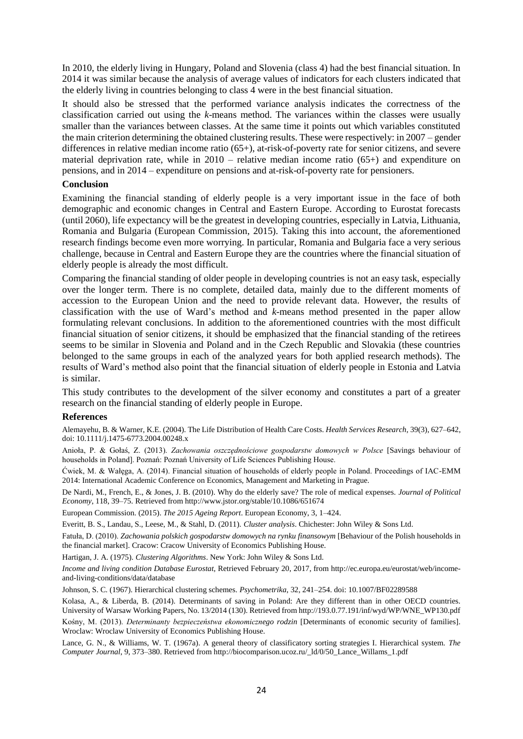In 2010, the elderly living in Hungary, Poland and Slovenia (class 4) had the best financial situation. In 2014 it was similar because the analysis of average values of indicators for each clusters indicated that the elderly living in countries belonging to class 4 were in the best financial situation.

It should also be stressed that the performed variance analysis indicates the correctness of the classification carried out using the *k*-means method. The variances within the classes were usually smaller than the variances between classes. At the same time it points out which variables constituted the main criterion determining the obtained clustering results. These were respectively: in 2007 – gender differences in relative median income ratio (65+), at-risk-of-poverty rate for senior citizens, and severe material deprivation rate, while in  $2010$  – relative median income ratio  $(65+)$  and expenditure on pensions, and in 2014 – expenditure on pensions and at-risk-of-poverty rate for pensioners.

### **Conclusion**

Examining the financial standing of elderly people is a very important issue in the face of both demographic and economic changes in Central and Eastern Europe. According to Eurostat forecasts (until 2060), life expectancy will be the greatest in developing countries, especially in Latvia, Lithuania, Romania and Bulgaria (European Commission, 2015). Taking this into account, the aforementioned research findings become even more worrying. In particular, Romania and Bulgaria face a very serious challenge, because in Central and Eastern Europe they are the countries where the financial situation of elderly people is already the most difficult.

Comparing the financial standing of older people in developing countries is not an easy task, especially over the longer term. There is no complete, detailed data, mainly due to the different moments of accession to the European Union and the need to provide relevant data. However, the results of classification with the use of Ward's method and *k*-means method presented in the paper allow formulating relevant conclusions. In addition to the aforementioned countries with the most difficult financial situation of senior citizens, it should be emphasized that the financial standing of the retirees seems to be similar in Slovenia and Poland and in the Czech Republic and Slovakia (these countries belonged to the same groups in each of the analyzed years for both applied research methods). The results of Ward's method also point that the financial situation of elderly people in Estonia and Latvia is similar.

This study contributes to the development of the silver economy and constitutes a part of a greater research on the financial standing of elderly people in Europe.

#### **References**

Alemayehu, B. & Warner, K.E. (2004). The Life Distribution of Health Care Costs. *Health Services Research*, 39(3), 627–642, doi: 10.1111/j.1475-6773.2004.00248.x

Anioła, P. & Gołaś, Z. (2013). *Zachowania oszczędnościowe gospodarstw domowych w Polsce* [Savings behaviour of households in Poland]. Poznań: Poznań University of Life Sciences Publishing House.

Ćwiek, M. & Wałęga, A. (2014). Financial situation of households of elderly people in Poland. Proceedings of IAC-EMM 2014: International Academic Conference on Economics, Management and Marketing in Prague.

De Nardi, M., French, E., & Jones, J. B. (2010). Why do the elderly save? The role of medical expenses. *Journal of Political Economy*, 118, 39–75. Retrieved from http://www.jstor.org/stable/10.1086/651674

European Commission. (2015). *The 2015 Ageing Report*. European Economy, 3, 1–424.

Everitt, B. S., Landau, S., Leese, M., & Stahl, D. (2011). *Cluster analysis*. Chichester: John Wiley & Sons Ltd.

Fatuła, D. (2010). *Zachowania polskich gospodarstw domowych na rynku finansowym* [Behaviour of the Polish households in the financial market]. Cracow: Cracow University of Economics Publishing House.

Hartigan, J. A. (1975). *Clustering Algorithms*. New York: John Wiley & Sons Ltd.

*Income and living condition Database Eurostat*, Retrieved February 20, 2017, from http://ec.europa.eu/eurostat/web/incomeand-living-conditions/data/database

Johnson, S. C. (1967). Hierarchical clustering schemes. *Psychometrika*, 32, 241–254. doi: 10.1007/BF02289588

Kolasa, A., & Liberda, B. (2014). Determinants of saving in Poland: Are they different than in other OECD countries. University of Warsaw Working Papers, No. 13/2014 (130). Retrieved from http://193.0.77.191/inf/wyd/WP/WNE\_WP130.pdf Kośny, M. (2013). *Determinanty bezpieczeństwa ekonomicznego rodzin* [Determinants of economic security of families]. Wroclaw: Wroclaw University of Economics Publishing House.

Lance, G. N., & Williams, W. T. (1967a). A general theory of classificatory sorting strategies I. Hierarchical system. *The Computer Journal*, 9, 373–380. Retrieved from http://biocomparison.ucoz.ru/\_ld/0/50\_Lance\_Willams\_1.pdf